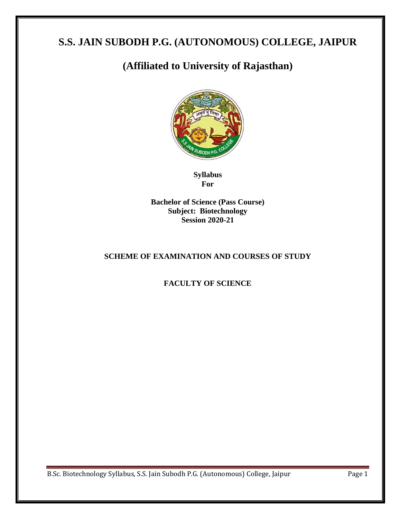# **S.S. JAIN SUBODH P.G. (AUTONOMOUS) COLLEGE, JAIPUR**

# **(Affiliated to University of Rajasthan)**



**Syllabus For**

**Bachelor of Science (Pass Course) Subject: Biotechnology Session 2020-21**

## **SCHEME OF EXAMINATION AND COURSES OF STUDY**

## **FACULTY OF SCIENCE**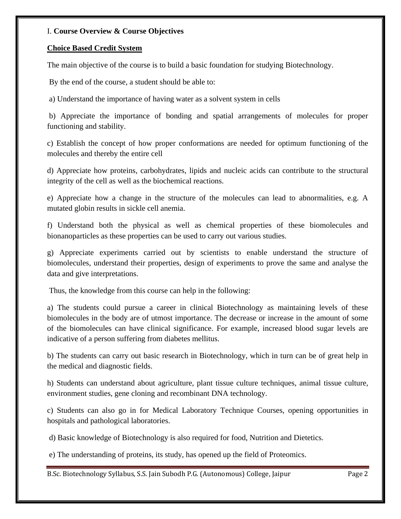## I. **Course Overview & Course Objectives**

## **Choice Based Credit System**

The main objective of the course is to build a basic foundation for studying Biotechnology.

By the end of the course, a student should be able to:

a) Understand the importance of having water as a solvent system in cells

b) Appreciate the importance of bonding and spatial arrangements of molecules for proper functioning and stability.

c) Establish the concept of how proper conformations are needed for optimum functioning of the molecules and thereby the entire cell

d) Appreciate how proteins, carbohydrates, lipids and nucleic acids can contribute to the structural integrity of the cell as well as the biochemical reactions.

e) Appreciate how a change in the structure of the molecules can lead to abnormalities, e.g. A mutated globin results in sickle cell anemia.

f) Understand both the physical as well as chemical properties of these biomolecules and bionanoparticles as these properties can be used to carry out various studies.

g) Appreciate experiments carried out by scientists to enable understand the structure of biomolecules, understand their properties, design of experiments to prove the same and analyse the data and give interpretations.

Thus, the knowledge from this course can help in the following:

a) The students could pursue a career in clinical Biotechnology as maintaining levels of these biomolecules in the body are of utmost importance. The decrease or increase in the amount of some of the biomolecules can have clinical significance. For example, increased blood sugar levels are indicative of a person suffering from diabetes mellitus.

b) The students can carry out basic research in Biotechnology, which in turn can be of great help in the medical and diagnostic fields.

h) Students can understand about agriculture, plant tissue culture techniques, animal tissue culture, environment studies, gene cloning and recombinant DNA technology.

c) Students can also go in for Medical Laboratory Technique Courses, opening opportunities in hospitals and pathological laboratories.

d) Basic knowledge of Biotechnology is also required for food, Nutrition and Dietetics.

e) The understanding of proteins, its study, has opened up the field of Proteomics.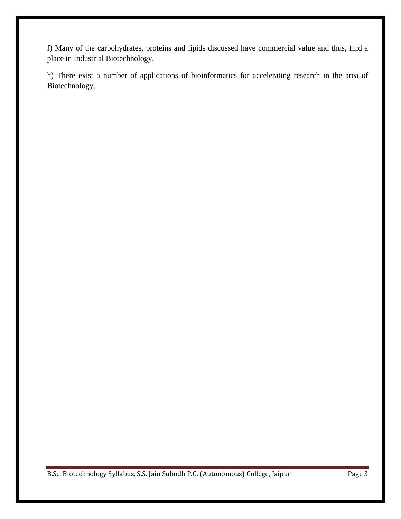f) Many of the carbohydrates, proteins and lipids discussed have commercial value and thus, find a place in Industrial Biotechnology.

h) There exist a number of applications of bioinformatics for accelerating research in the area of Biotechnology.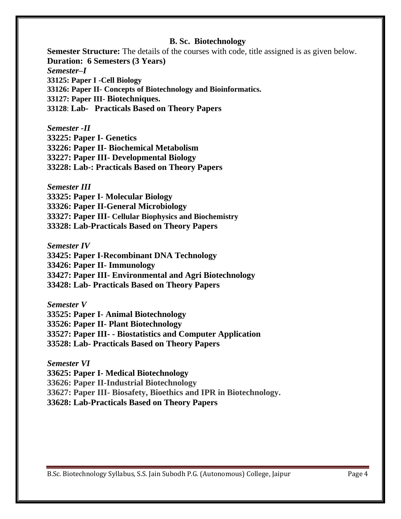## **B. Sc. Biotechnology**

**Semester Structure:** The details of the courses with code, title assigned is as given below. **Duration: 6 Semesters (3 Years)** *Semester–I* **33125: Paper I -Cell Biology 33126: Paper II- Concepts of Biotechnology and Bioinformatics. 33127: Paper III- Biotechniques. 33128**: **Lab- Practicals Based on Theory Papers**

*Semester -II* **33225: Paper I- Genetics 33226: Paper II- Biochemical Metabolism 33227: Paper III- Developmental Biology 33228: Lab-: Practicals Based on Theory Papers**

*Semester III* **33325: Paper I- Molecular Biology 33326: Paper II-General Microbiology 33327: Paper III- Cellular Biophysics and Biochemistry 33328: Lab-Practicals Based on Theory Papers**

*Semester IV* **33425: Paper I-Recombinant DNA Technology 33426: Paper II- Immunology 33427: Paper III- Environmental and Agri Biotechnology 33428: Lab- Practicals Based on Theory Papers**

*Semester V* **33525: Paper I- Animal Biotechnology 33526: Paper II- Plant Biotechnology 33527: Paper III- - Biostatistics and Computer Application 33528: Lab- Practicals Based on Theory Papers**

*Semester VI* **33625: Paper I- Medical Biotechnology 33626: Paper II-Industrial Biotechnology 33627: Paper III- Biosafety, Bioethics and IPR in Biotechnology. 33628: Lab-Practicals Based on Theory Papers**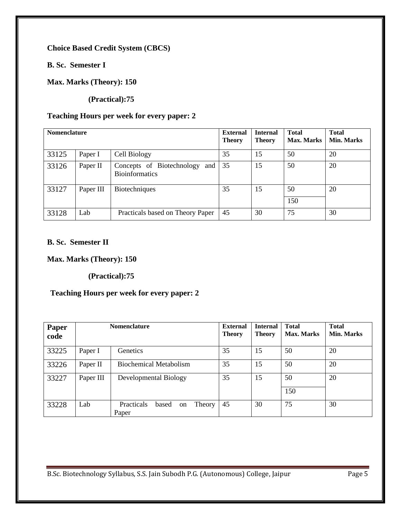**Choice Based Credit System (CBCS)**

**B. Sc. Semester I**

**Max. Marks (Theory): 150** 

 **(Practical):75**

## **Teaching Hours per week for every paper: 2**

| <b>Nomenclature</b> |           |                                                           | <b>External</b><br><b>Theory</b> | <b>Internal</b><br><b>Theory</b> | <b>Total</b><br><b>Max. Marks</b> | <b>Total</b><br><b>Min. Marks</b> |
|---------------------|-----------|-----------------------------------------------------------|----------------------------------|----------------------------------|-----------------------------------|-----------------------------------|
| 33125               | Paper I   | Cell Biology                                              | 35                               | 15                               | 50                                | 20                                |
| 33126               | Paper II  | Concepts of Biotechnology<br>and<br><b>Bioinformatics</b> | 35                               | 15                               | 50                                | 20                                |
| 33127               | Paper III | <b>Biotechniques</b>                                      | 35                               | 15                               | 50<br>150                         | 20                                |
| 33128               | Lab       | Practicals based on Theory Paper                          | 45                               | 30                               | 75                                | 30                                |

## **B. Sc. Semester II**

**Max. Marks (Theory): 150** 

 **(Practical):75**

## **Teaching Hours per week for every paper: 2**

| Paper<br>code | <b>Nomenclature</b> |                                              | <b>External</b><br><b>Theory</b> | <b>Internal</b><br><b>Theory</b> | <b>Total</b><br><b>Max. Marks</b> | <b>Total</b><br><b>Min. Marks</b> |
|---------------|---------------------|----------------------------------------------|----------------------------------|----------------------------------|-----------------------------------|-----------------------------------|
| 33225         | Paper I             | Genetics                                     | 35                               | 15                               | 50                                | 20                                |
| 33226         | Paper II            | <b>Biochemical Metabolism</b>                | 35                               | 15                               | 50                                | 20                                |
| 33227         | Paper III           | Developmental Biology                        | 35                               | 15                               | 50<br>150                         | 20                                |
| 33228         | Lab                 | Practicals<br>based<br>Theory<br>on<br>Paper | 45                               | 30                               | 75                                | 30                                |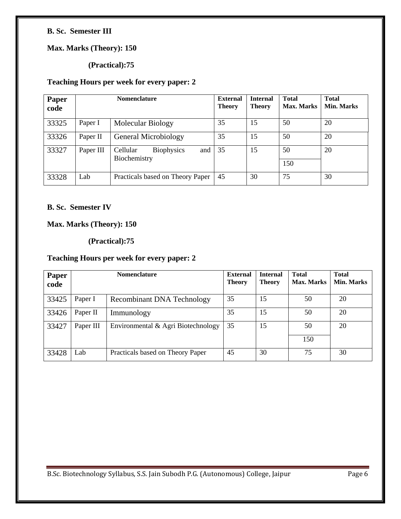## **B. Sc. Semester III**

## **Max. Marks (Theory): 150**

## **(Practical):75**

## **Teaching Hours per week for every paper: 2**

| Paper<br>code |           | <b>Nomenclature</b>                                  | <b>External</b><br><b>Theory</b> | <b>Internal</b><br><b>Theory</b> | <b>Total</b><br><b>Max. Marks</b> | <b>Total</b><br>Min. Marks |
|---------------|-----------|------------------------------------------------------|----------------------------------|----------------------------------|-----------------------------------|----------------------------|
| 33325         | Paper I   | <b>Molecular Biology</b>                             | 35                               | 15                               | 50                                | 20                         |
| 33326         | Paper II  | General Microbiology                                 | 35                               | 15                               | 50                                | 20                         |
| 33327         | Paper III | Cellular<br><b>Biophysics</b><br>and<br>Biochemistry | 35                               | 15                               | 50<br>150                         | 20                         |
| 33328         | Lab       | Practicals based on Theory Paper                     | 45                               | 30                               | 75                                | 30                         |

## **B. Sc. Semester IV**

## **Max. Marks (Theory): 150**

## **(Practical):75**

## **Teaching Hours per week for every paper: 2**

| Paper<br>code | <b>Nomenclature</b> |                                    | <b>External</b><br><b>Theory</b> | <b>Internal</b><br><b>Theory</b> | <b>Total</b><br><b>Max. Marks</b> | <b>Total</b><br>Min. Marks |
|---------------|---------------------|------------------------------------|----------------------------------|----------------------------------|-----------------------------------|----------------------------|
| 33425         | Paper I             | <b>Recombinant DNA Technology</b>  | 35                               | 15                               | 50                                | 20                         |
| 33426         | Paper II            | Immunology                         | 35                               | 15                               | 50                                | 20                         |
| 33427         | Paper III           | Environmental & Agri Biotechnology | 35                               | 15                               | 50                                | 20                         |
|               |                     |                                    |                                  |                                  | 150                               |                            |
| 33428         | Lab                 | Practicals based on Theory Paper   | 45                               | 30                               | 75                                | 30                         |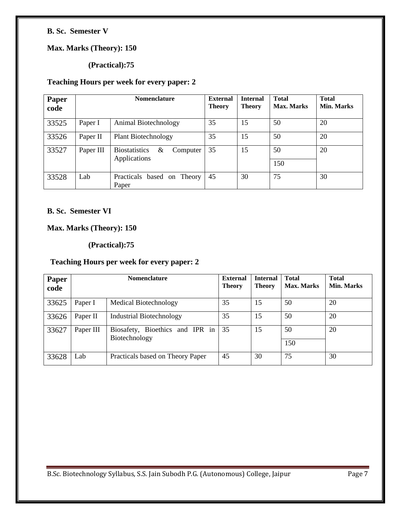## **B. Sc. Semester V**

## **Max. Marks (Theory): 150**

## **(Practical):75**

## **Teaching Hours per week for every paper: 2**

| Paper<br>code |           | <b>Nomenclature</b>                                   | <b>External</b><br><b>Theory</b> | <b>Internal</b><br>Theory | <b>Total</b><br><b>Max. Marks</b> | <b>Total</b><br>Min. Marks |
|---------------|-----------|-------------------------------------------------------|----------------------------------|---------------------------|-----------------------------------|----------------------------|
| 33525         | Paper I   | Animal Biotechnology                                  | 35                               | 15                        | 50                                | 20                         |
| 33526         | Paper II  | <b>Plant Biotechnology</b>                            | 35                               | 15                        | 50                                | 20                         |
| 33527         | Paper III | <b>Biostatistics</b><br>&<br>Computer<br>Applications | 35                               | 15                        | 50<br>150                         | 20                         |
| 33528         | Lab       | Practicals<br>based on Theory<br>Paper                | 45                               | 30                        | 75                                | 30                         |

## **B. Sc. Semester VI**

## **Max. Marks (Theory): 150**

## **(Practical):75**

## **Teaching Hours per week for every paper: 2**

| Paper<br>code | <b>Nomenclature</b> |                                                  | <b>External</b><br><b>Theory</b> | <b>Internal</b><br><b>Theory</b> | <b>Total</b><br><b>Max. Marks</b> | <b>Total</b><br><b>Min. Marks</b> |
|---------------|---------------------|--------------------------------------------------|----------------------------------|----------------------------------|-----------------------------------|-----------------------------------|
| 33625         | Paper I             | Medical Biotechnology                            | 35                               | 15                               | 50                                | 20                                |
| 33626         | Paper II            | <b>Industrial Biotechnology</b>                  | 35                               | 15                               | 50                                | 20                                |
| 33627         | Paper III           | Biosafety, Bioethics and IPR in<br>Biotechnology | 35                               | 15                               | 50<br>150                         | 20                                |
| 33628         | Lab                 | Practicals based on Theory Paper                 | 45                               | 30                               | 75                                | 30                                |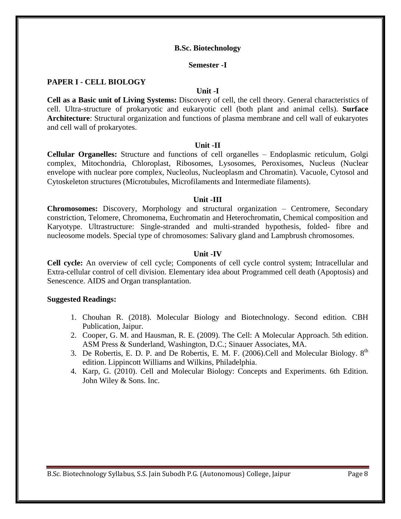#### **B.Sc. Biotechnology**

#### **Semester -I**

## **PAPER I - CELL BIOLOGY**

#### **Unit -I**

**Cell as a Basic unit of Living Systems:** Discovery of cell, the cell theory. General characteristics of cell. Ultra-structure of prokaryotic and eukaryotic cell (both plant and animal cells). **Surface Architecture**: Structural organization and functions of plasma membrane and cell wall of eukaryotes and cell wall of prokaryotes.

### **Unit -II**

**Cellular Organelles:** Structure and functions of cell organelles – Endoplasmic reticulum, Golgi complex, Mitochondria, Chloroplast, Ribosomes, Lysosomes, Peroxisomes, Nucleus (Nuclear envelope with nuclear pore complex, Nucleolus, Nucleoplasm and Chromatin). Vacuole, Cytosol and Cytoskeleton structures (Microtubules, Microfilaments and Intermediate filaments).

#### **Unit -III**

**Chromosomes:** Discovery, Morphology and structural organization – Centromere, Secondary constriction, Telomere, Chromonema, Euchromatin and Heterochromatin, Chemical composition and Karyotype. Ultrastructure: Single-stranded and multi-stranded hypothesis, folded- fibre and nucleosome models. Special type of chromosomes: Salivary gland and Lampbrush chromosomes.

#### **Unit -IV**

**Cell cycle:** An overview of cell cycle; Components of cell cycle control system; Intracellular and Extra-cellular control of cell division. Elementary idea about Programmed cell death (Apoptosis) and Senescence. AIDS and Organ transplantation.

- 1. Chouhan R. (2018). Molecular Biology and Biotechnology. Second edition. CBH Publication, Jaipur.
- 2. Cooper, G. M. and Hausman, R. E. (2009). The Cell: A Molecular Approach. 5th edition. ASM Press & Sunderland, Washington, D.C.; Sinauer Associates, MA.
- 3. De Robertis, E. D. P. and De Robertis, E. M. F. (2006). Cell and Molecular Biology.  $8<sup>th</sup>$ edition. Lippincott Williams and Wilkins, Philadelphia.
- 4. Karp, G. (2010). Cell and Molecular Biology: Concepts and Experiments. 6th Edition. John Wiley & Sons. Inc.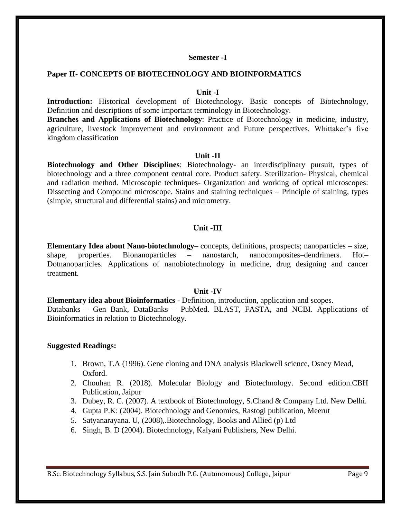#### **Semester -I**

### **Paper II- CONCEPTS OF BIOTECHNOLOGY AND BIOINFORMATICS**

### **Unit -I**

**Introduction:** Historical development of Biotechnology. Basic concepts of Biotechnology, Definition and descriptions of some important terminology in Biotechnology.

**Branches and Applications of Biotechnology**: Practice of Biotechnology in medicine, industry, agriculture, livestock improvement and environment and Future perspectives. Whittaker's five kingdom classification

### **Unit -II**

**Biotechnology and Other Disciplines**: Biotechnology- an interdisciplinary pursuit, types of biotechnology and a three component central core. Product safety. Sterilization- Physical, chemical and radiation method. Microscopic techniques- Organization and working of optical microscopes: Dissecting and Compound microscope. Stains and staining techniques – Principle of staining, types (simple, structural and differential stains) and micrometry.

## **Unit -III**

**Elementary Idea about Nano-biotechnology**– concepts, definitions, prospects; nanoparticles – size, shape, properties. Bionanoparticles – nanostarch, nanocomposites–dendrimers. Hot– Dotnanoparticles. Applications of nanobiotechnology in medicine, drug designing and cancer treatment.

#### **Unit -IV**

**Elementary idea about Bioinformatics** - Definition, introduction, application and scopes. Databanks – Gen Bank, DataBanks – PubMed. BLAST, FASTA, and NCBI. Applications of Bioinformatics in relation to Biotechnology.

- 1. Brown, T.A (1996). Gene cloning and DNA analysis Blackwell science, Osney Mead, Oxford.
- 2. Chouhan R. (2018). Molecular Biology and Biotechnology. Second edition.CBH Publication, Jaipur
- 3. Dubey, R. C. (2007). A textbook of Biotechnology, S.Chand & Company Ltd. New Delhi.
- 4. Gupta P.K: (2004). Biotechnology and Genomics, Rastogi publication, Meerut
- 5. Satyanarayana. U, (2008),.Biotechnology, Books and Allied (p) Ltd
- 6. Singh, B. D (2004). Biotechnology, Kalyani Publishers, New Delhi.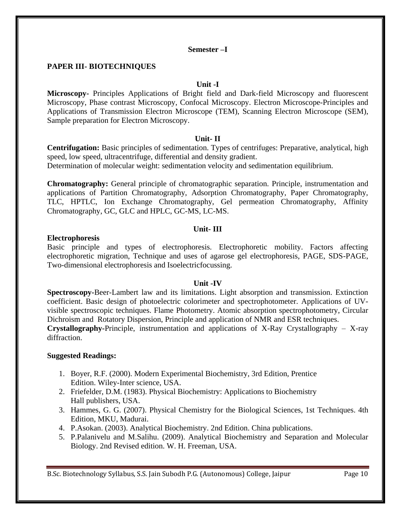## **Semester –I**

## **PAPER III- BIOTECHNIQUES**

#### **Unit -I**

**Microscopy-** Principles Applications of Bright field and Dark-field Microscopy and fluorescent Microscopy, Phase contrast Microscopy, Confocal Microscopy. Electron Microscope-Principles and Applications of Transmission Electron Microscope (TEM), Scanning Electron Microscope (SEM), Sample preparation for Electron Microscopy.

### **Unit- II**

**Centrifugation:** Basic principles of sedimentation. Types of centrifuges: Preparative, analytical, high speed, low speed, ultracentrifuge, differential and density gradient.

Determination of molecular weight: sedimentation velocity and sedimentation equilibrium.

**Chromatography:** General principle of chromatographic separation. Principle, instrumentation and applications of Partition Chromatography, Adsorption Chromatography, Paper Chromatography, TLC, HPTLC, Ion Exchange Chromatography, Gel permeation Chromatography, Affinity Chromatography, GC, GLC and HPLC, GC-MS, LC-MS.

### **Unit- III**

### **Electrophoresis**

Basic principle and types of electrophoresis. Electrophoretic mobility. Factors affecting electrophoretic migration, Technique and uses of agarose gel electrophoresis, PAGE, SDS-PAGE, Two-dimensional electrophoresis and Isoelectricfocussing.

## **Unit -IV**

**Spectroscopy-**Beer-Lambert law and its limitations. Light absorption and transmission. Extinction coefficient. Basic design of photoelectric colorimeter and spectrophotometer. Applications of UVvisible spectroscopic techniques. Flame Photometry. Atomic absorption spectrophotometry, Circular Dichroism and Rotatory Dispersion, Principle and application of NMR and ESR techniques. **Crystallography-**Principle, instrumentation and applications of X-Ray Crystallography – X-ray diffraction.

## **Suggested Readings:**

- 1. Boyer, R.F. (2000). Modern Experimental Biochemistry, 3rd Edition, Prentice Edition. Wiley-Inter science, USA.
- 2. Friefelder, D.M. (1983). Physical Biochemistry: Applications to Biochemistry Hall publishers, USA.
- 3. Hammes, G. G. (2007). Physical Chemistry for the Biological Sciences, 1st Techniques. 4th Edition, MKU, Madurai.
- 4. P.Asokan. (2003). Analytical Biochemistry. 2nd Edition. China publications.
- 5. P.Palanivelu and M.Salihu. (2009). Analytical Biochemistry and Separation and Molecular Biology. 2nd Revised edition. W. H. Freeman, USA.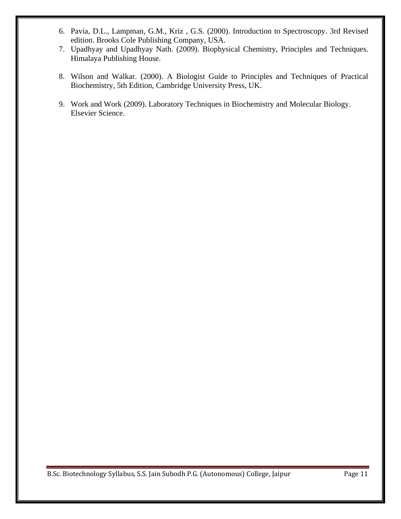- 6. Pavia, D.L., Lampman, G.M., Kriz , G.S. (2000). Introduction to Spectroscopy. 3rd Revised edition. Brooks Cole Publishing Company, USA.
- 7. Upadhyay and Upadhyay Nath. (2009). Biophysical Chemistry, Principles and Techniques. Himalaya Publishing House.
- 8. Wilson and Walkar. (2000). A Biologist Guide to Principles and Techniques of Practical Biochemistry, 5th Edition, Cambridge University Press, UK.
- 9. Work and Work (2009). Laboratory Techniques in Biochemistry and Molecular Biology. Elsevier Science.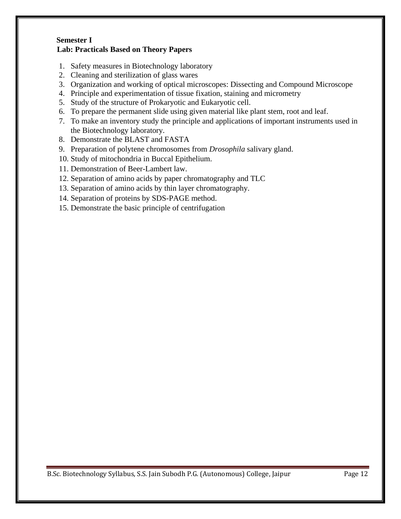## **Semester I Lab: Practicals Based on Theory Papers**

- 1. Safety measures in Biotechnology laboratory
- 2. Cleaning and sterilization of glass wares
- 3. Organization and working of optical microscopes: Dissecting and Compound Microscope
- 4. Principle and experimentation of tissue fixation, staining and micrometry
- 5. Study of the structure of Prokaryotic and Eukaryotic cell.
- 6. To prepare the permanent slide using given material like plant stem, root and leaf.
- 7. To make an inventory study the principle and applications of important instruments used in the Biotechnology laboratory.
- 8. Demonstrate the BLAST and FASTA
- 9. Preparation of polytene chromosomes from *Drosophila* salivary gland.
- 10. Study of mitochondria in Buccal Epithelium.
- 11. Demonstration of Beer-Lambert law.
- 12. Separation of amino acids by paper chromatography and TLC
- 13. Separation of amino acids by thin layer chromatography.
- 14. Separation of proteins by SDS-PAGE method.
- 15. Demonstrate the basic principle of centrifugation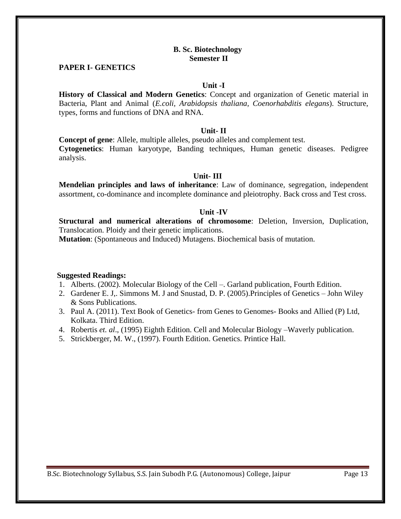### **B. Sc. Biotechnology Semester II**

### **PAPER I- GENETICS**

#### **Unit -I**

**History of Classical and Modern Genetics**: Concept and organization of Genetic material in Bacteria, Plant and Animal (*E.coli, Arabidopsis thaliana, Coenorhabditis elegans*). Structure, types, forms and functions of DNA and RNA.

### **Unit- II**

**Concept of gene**: Allele, multiple alleles, pseudo alleles and complement test. **Cytogenetics**: Human karyotype, Banding techniques, Human genetic diseases. Pedigree analysis.

#### **Unit- III**

**Mendelian principles and laws of inheritance**: Law of dominance, segregation, independent assortment, co-dominance and incomplete dominance and pleiotrophy. Back cross and Test cross.

#### **Unit -IV**

**Structural and numerical alterations of chromosome**: Deletion, Inversion, Duplication, Translocation. Ploidy and their genetic implications.

**Mutation**: (Spontaneous and Induced) Mutagens. Biochemical basis of mutation.

- 1. Alberts. (2002). Molecular Biology of the Cell –. Garland publication, Fourth Edition.
- 2. Gardener E. J,. Simmons M. J and Snustad, D. P. (2005).Principles of Genetics John Wiley & Sons Publications.
- 3. Paul A. (2011). Text Book of Genetics- from Genes to Genomes- Books and Allied (P) Ltd, Kolkata. Third Edition.
- 4. Robertis *et. al*., (1995) Eighth Edition. Cell and Molecular Biology –Waverly publication.
- 5. Strickberger, M. W., (1997). Fourth Edition. Genetics. Printice Hall.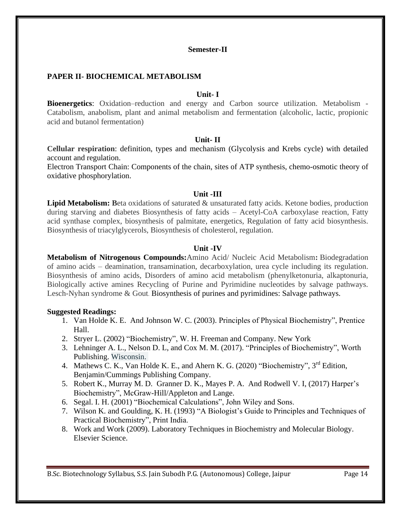## **PAPER II- BIOCHEMICAL METABOLISM**

### **Unit- I**

**Bioenergetics**: Oxidation–reduction and energy and Carbon source utilization. Metabolism - Catabolism, anabolism, plant and animal metabolism and fermentation (alcoholic, lactic, propionic acid and butanol fermentation)

### **Unit- II**

**Cellular respiration**: definition, types and mechanism (Glycolysis and Krebs cycle) with detailed account and regulation.

Electron Transport Chain: Components of the chain, sites of ATP synthesis, chemo-osmotic theory of oxidative phosphorylation.

#### **Unit -III**

**Lipid Metabolism:** Beta oxidations of saturated & unsaturated fatty acids. Ketone bodies, production during starving and diabetes Biosynthesis of fatty acids – Acetyl-CoA carboxylase reaction, Fatty acid synthase complex, biosynthesis of palmitate, energetics, Regulation of fatty acid biosynthesis. Biosynthesis of triacylglycerols, Biosynthesis of cholesterol, regulation.

### **Unit -IV**

**Metabolism of Nitrogenous Compounds:**Amino Acid/ Nucleic Acid Metabolism**:** Biodegradation of amino acids – deamination, transamination, decarboxylation, urea cycle including its regulation. Biosynthesis of amino acids, Disorders of amino acid metabolism (phenylketonuria, alkaptonuria, Biologically active amines Recycling of Purine and Pyrimidine nucleotides by salvage pathways. Lesch-Nyhan syndrome & Gout. Biosynthesis of purines and pyrimidines: Salvage pathways.

- 1. Van Holde K. E. And Johnson W. C. (2003). Principles of Physical Biochemistry", Prentice Hall.
- 2. Stryer L. (2002) "Biochemistry", W. H. Freeman and Company. New York
- 3. Lehninger A. L., Nelson D. L, and Cox M. M. (2017). "Principles of Biochemistry", Worth Publishing. Wisconsin.
- 4. Mathews C. K., Van Holde K. E., and Ahern K. G. (2020) "Biochemistry", 3<sup>rd</sup> Edition, Benjamin/Cummings Publishing Company.
- 5. Robert K., Murray M. D. Granner D. K., Mayes P. A. And Rodwell V. I, (2017) Harper's Biochemistry", McGraw-Hill/Appleton and Lange.
- 6. Segal. I. H. (2001) "Biochemical Calculations", John Wiley and Sons.
- 7. Wilson K. and Goulding, K. H. (1993) "A Biologist's Guide to Principles and Techniques of Practical Biochemistry", Print India.
- 8. Work and Work (2009). Laboratory Techniques in Biochemistry and Molecular Biology. Elsevier Science.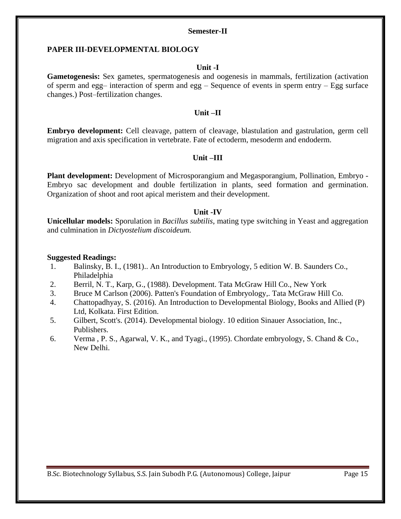#### **PAPER III-DEVELOPMENTAL BIOLOGY**

#### **Unit -I**

**Gametogenesis:** Sex gametes, spermatogenesis and oogenesis in mammals, fertilization (activation of sperm and egg– interaction of sperm and egg – Sequence of events in sperm entry – Egg surface changes.) Post–fertilization changes.

### **Unit –II**

**Embryo development:** Cell cleavage, pattern of cleavage, blastulation and gastrulation, germ cell migration and axis specification in vertebrate. Fate of ectoderm, mesoderm and endoderm.

### **Unit –III**

**Plant development:** Development of Microsporangium and Megasporangium, Pollination, Embryo - Embryo sac development and double fertilization in plants, seed formation and germination. Organization of shoot and root apical meristem and their development.

#### **Unit -IV**

**Unicellular models:** Sporulation in *Bacillus subtilis*, mating type switching in Yeast and aggregation and culmination in *Dictyostelium discoideum.*

- 1. Balinsky, B. I., (1981).. An Introduction to Embryology, 5 edition W. B. Saunders Co., Philadelphia
- 2. Berril, N. T., Karp, G., (1988). Development. Tata McGraw Hill Co., New York
- 3. Bruce M Carlson (2006). Patten's Foundation of Embryology,. Tata McGraw Hill Co.
- 4. Chattopadhyay, S. (2016). An Introduction to Developmental Biology, Books and Allied (P) Ltd, Kolkata. First Edition.
- 5. Gilbert, Scott's. (2014). Developmental biology. 10 edition Sinauer Association, Inc., Publishers.
- 6. Verma , P. S., Agarwal, V. K., and Tyagi., (1995). Chordate embryology, S. Chand & Co., New Delhi.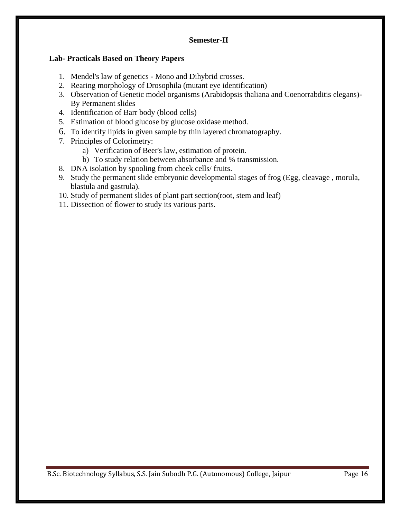## **Lab- Practicals Based on Theory Papers**

- 1. Mendel's law of genetics Mono and Dihybrid crosses.
- 2. Rearing morphology of Drosophila (mutant eye identification)
- 3. Observation of Genetic model organisms (Arabidopsis thaliana and Coenorrabditis elegans)- By Permanent slides
- 4. Identification of Barr body (blood cells)
- 5. Estimation of blood glucose by glucose oxidase method.
- 6. To identify lipids in given sample by thin layered chromatography.
- 7. Principles of Colorimetry:
	- a) Verification of Beer's law, estimation of protein.
	- b) To study relation between absorbance and % transmission.
- 8. DNA isolation by spooling from cheek cells/ fruits.
- 9. Study the permanent slide embryonic developmental stages of frog (Egg, cleavage , morula, blastula and gastrula).
- 10. Study of permanent slides of plant part section(root, stem and leaf)
- 11. Dissection of flower to study its various parts.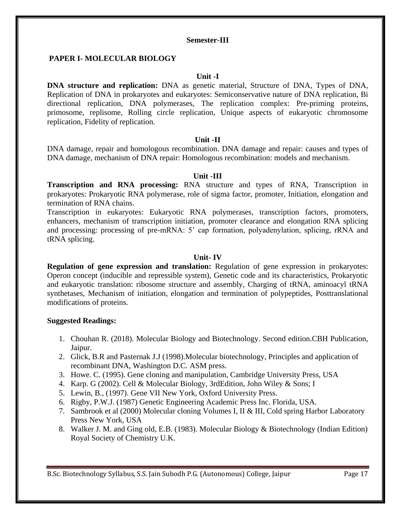## **PAPER I- MOLECULAR BIOLOGY**

### **Unit -I**

**DNA structure and replication:** DNA as genetic material, Structure of DNA, Types of DNA, Replication of DNA in prokaryotes and eukaryotes: Semiconservative nature of DNA replication, Bi directional replication, DNA polymerases, The replication complex: Pre-priming proteins, primosome, replisome, Rolling circle replication, Unique aspects of eukaryotic chromosome replication, Fidelity of replication.

#### **Unit -II**

DNA damage, repair and homologous recombination. DNA damage and repair: causes and types of DNA damage, mechanism of DNA repair: Homologous recombination: models and mechanism.

### **Unit -III**

**Transcription and RNA processing:** RNA structure and types of RNA, Transcription in prokaryotes: Prokaryotic RNA polymerase, role of sigma factor, promoter, Initiation, elongation and termination of RNA chains.

Transcription in eukaryotes: Eukaryotic RNA polymerases, transcription factors, promoters, enhancers, mechanism of transcription initiation, promoter clearance and elongation RNA splicing and processing: processing of pre-mRNA: 5' cap formation, polyadenylation, splicing, rRNA and tRNA splicing.

#### **Unit- IV**

**Regulation of gene expression and translation:** Regulation of gene expression in prokaryotes: Operon concept (inducible and repressible system), Genetic code and its characteristics, Prokaryotic and eukaryotic translation: ribosome structure and assembly, Charging of tRNA, aminoacyl tRNA synthetases, Mechanism of initiation, elongation and termination of polypeptides, Posttranslational modifications of proteins.

- 1. Chouhan R. (2018). Molecular Biology and Biotechnology. Second edition.CBH Publication, Jaipur.
- 2. Glick, B.R and Pasternak J.J (1998).Molecular biotechnology, Principles and application of recombinant DNA, Washington D.C. ASM press.
- 3. Howe. C. (1995). Gene cloning and manipulation, Cambridge University Press, USA
- 4. Karp. G (2002). Cell & Molecular Biology, 3rdEdition, John Wiley & Sons; I
- 5. Lewin, B., (1997). Gene VII New York, Oxford University Press.
- 6. Rigby, P.W.J. (1987) Genetic Engineering Academic Press Inc. Florida, USA.
- 7. Sambrook et al (2000) Molecular cloning Volumes I, II & III, Cold spring Harbor Laboratory Press New York, USA
- 8. Walker J. M. and Ging old, E.B. (1983). Molecular Biology & Biotechnology (Indian Edition) Royal Society of Chemistry U.K.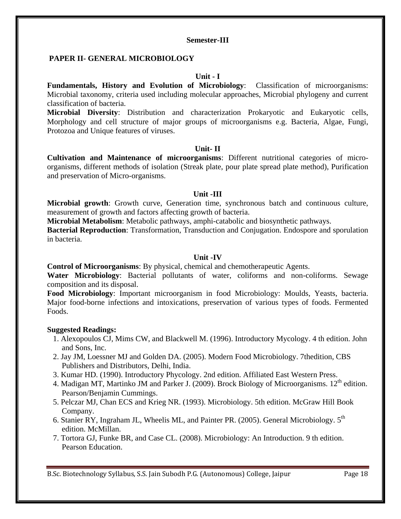## **PAPER II- GENERAL MICROBIOLOGY**

## **Unit - I**

**Fundamentals, History and Evolution of Microbiology**: Classification of microorganisms: Microbial taxonomy, criteria used including molecular approaches, Microbial phylogeny and current classification of bacteria.

**Microbial Diversity**: Distribution and characterization Prokaryotic and Eukaryotic cells, Morphology and cell structure of major groups of microorganisms e.g. Bacteria, Algae, Fungi, Protozoa and Unique features of viruses.

#### **Unit- II**

**Cultivation and Maintenance of microorganisms**: Different nutritional categories of microorganisms, different methods of isolation (Streak plate, pour plate spread plate method), Purification and preservation of Micro-organisms.

### **Unit -III**

**Microbial growth**: Growth curve, Generation time, synchronous batch and continuous culture, measurement of growth and factors affecting growth of bacteria.

**Microbial Metabolism**: Metabolic pathways, amphi-catabolic and biosynthetic pathways.

**Bacterial Reproduction**: Transformation, Transduction and Conjugation. Endospore and sporulation in bacteria.

### **Unit -IV**

**Control of Microorganisms**: By physical, chemical and chemotherapeutic Agents.

**Water Microbiology**: Bacterial pollutants of water, coliforms and non-coliforms. Sewage composition and its disposal.

**Food Microbiology**: Important microorganism in food Microbiology: Moulds, Yeasts, bacteria. Major food-borne infections and intoxications, preservation of various types of foods. Fermented Foods.

## **Suggested Readings:**

- 1. Alexopoulos CJ, Mims CW, and Blackwell M. (1996). Introductory Mycology. 4 th edition. John and Sons, Inc.
- 2. Jay JM, Loessner MJ and Golden DA. (2005). Modern Food Microbiology. 7thedition, CBS Publishers and Distributors, Delhi, India.
- 3. Kumar HD. (1990). Introductory Phycology. 2nd edition. Affiliated East Western Press.
- 4. Madigan MT, Martinko JM and Parker J. (2009). Brock Biology of Microorganisms.  $12<sup>th</sup>$  edition. Pearson/Benjamin Cummings.
- 5. Pelczar MJ, Chan ECS and Krieg NR. (1993). Microbiology. 5th edition. McGraw Hill Book Company.
- 6. Stanier RY, Ingraham JL, Wheelis ML, and Painter PR. (2005). General Microbiology.  $5<sup>th</sup>$ edition. McMillan.
- 7. Tortora GJ, Funke BR, and Case CL. (2008). Microbiology: An Introduction. 9 th edition. Pearson Education.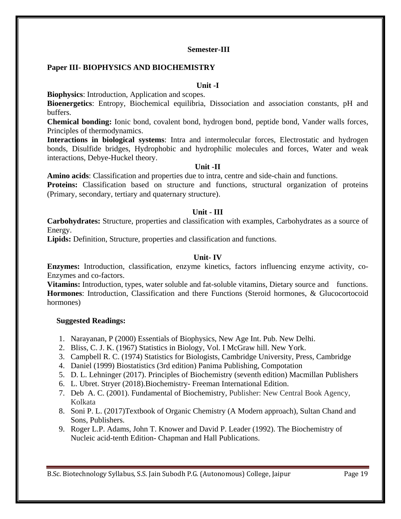## **Paper III- BIOPHYSICS AND BIOCHEMISTRY**

## **Unit -I**

**Biophysics**: Introduction, Application and scopes.

**Bioenergetics**: Entropy, Biochemical equilibria, Dissociation and association constants, pH and buffers.

**Chemical bonding:** Ionic bond, covalent bond, hydrogen bond, peptide bond, Vander walls forces, Principles of thermodynamics.

**Interactions in biological systems**: Intra and intermolecular forces, Electrostatic and hydrogen bonds, Disulfide bridges, Hydrophobic and hydrophilic molecules and forces, Water and weak interactions, Debye-Huckel theory.

## **Unit -II**

**Amino acids**: Classification and properties due to intra, centre and side-chain and functions.

Proteins: Classification based on structure and functions, structural organization of proteins (Primary, secondary, tertiary and quaternary structure).

## **Unit - III**

**Carbohydrates:** Structure, properties and classification with examples, Carbohydrates as a source of Energy.

**Lipids:** Definition, Structure, properties and classification and functions.

## **Unit- IV**

**Enzymes:** Introduction, classification, enzyme kinetics, factors influencing enzyme activity, co-Enzymes and co-factors.

**Vitamins:** Introduction, types, water soluble and fat-soluble vitamins, Dietary source and functions. **Hormones**: Introduction, Classification and there Functions (Steroid hormones, & Glucocortocoid hormones)

- 1. Narayanan, P (2000) Essentials of Biophysics, New Age Int. Pub. New Delhi.
- 2. Bliss, C. J. K. (1967) Statistics in Biology, Vol. I McGraw hill. New York.
- 3. Campbell R. C. (1974) Statistics for Biologists, Cambridge University, Press, Cambridge
- 4. Daniel (1999) Biostatistics (3rd edition) Panima Publishing, Compotation
- 5. D. L. Lehninger (2017). Principles of Biochemistry (seventh edition) Macmillan Publishers
- 6. L. Ubret. Stryer (2018).Biochemistry- Freeman International Edition.
- 7. Deb A. C. (2001). Fundamental of Biochemistry, Publisher: New Central Book Agency, Kolkata
- 8. Soni P. L. (2017)Textbook of Organic Chemistry (A Modern approach), Sultan Chand and Sons, Publishers.
- 9. Roger L.P. Adams, John T. Knower and David P. Leader (1992). The Biochemistry of Nucleic acid-tenth Edition- Chapman and Hall Publications.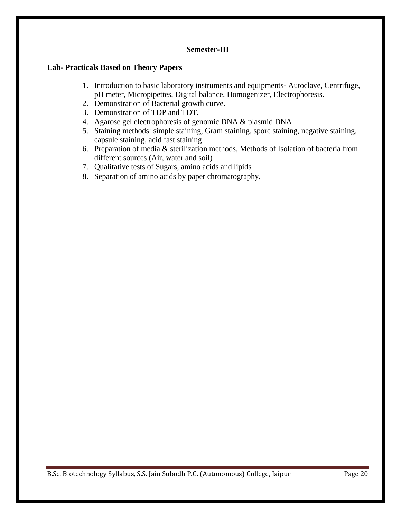## **Lab- Practicals Based on Theory Papers**

- 1. Introduction to basic laboratory instruments and equipments- Autoclave, Centrifuge, pH meter, Micropipettes, Digital balance, Homogenizer, Electrophoresis.
- 2. Demonstration of Bacterial growth curve.
- 3. Demonstration of TDP and TDT.
- 4. Agarose gel electrophoresis of genomic DNA & plasmid DNA
- 5. Staining methods: simple staining, Gram staining, spore staining, negative staining, capsule staining, acid fast staining
- 6. Preparation of media & sterilization methods, Methods of Isolation of bacteria from different sources (Air, water and soil)
- 7. Qualitative tests of Sugars, amino acids and lipids
- 8. Separation of amino acids by paper chromatography,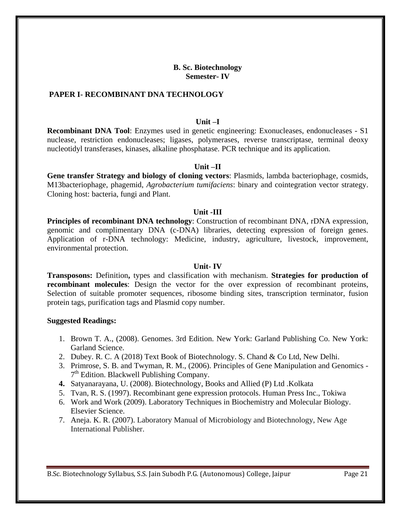## **B. Sc. Biotechnology Semester- IV**

### **PAPER I- RECOMBINANT DNA TECHNOLOGY**

#### **Unit –I**

**Recombinant DNA Tool**: Enzymes used in genetic engineering: Exonucleases, endonucleases - S1 nuclease, restriction endonucleases; ligases, polymerases, reverse transcriptase, terminal deoxy nucleotidyl transferases, kinases, alkaline phosphatase. PCR technique and its application.

#### **Unit –II**

**Gene transfer Strategy and biology of cloning vectors**: Plasmids, lambda bacteriophage, cosmids, M13bacteriophage, phagemid, *Agrobacterium tumifaciens*: binary and cointegration vector strategy. Cloning host: bacteria, fungi and Plant.

#### **Unit -III**

**Principles of recombinant DNA technology**: Construction of recombinant DNA, rDNA expression, genomic and complimentary DNA (c-DNA) libraries, detecting expression of foreign genes. Application of r-DNA technology: Medicine, industry, agriculture, livestock, improvement, environmental protection.

#### **Unit- IV**

**Transposons:** Definition**,** types and classification with mechanism. **Strategies for production of recombinant molecules**: Design the vector for the over expression of recombinant proteins, Selection of suitable promoter sequences, ribosome binding sites, transcription terminator, fusion protein tags, purification tags and Plasmid copy number.

#### **Suggested Readings:**

- 1. Brown T. A., (2008). Genomes. 3rd Edition. New York: Garland Publishing Co. New York: Garland Science.
- 2. Dubey. R. C. A (2018) Text Book of Biotechnology. S. Chand & Co Ltd, New Delhi.
- 3. Primrose, S. B. and Twyman, R. M., (2006). Principles of Gene Manipulation and Genomics 7<sup>th</sup> Edition. Blackwell Publishing Company.
- **4.** Satyanarayana, U. (2008). Biotechnology, Books and Allied (P) Ltd .Kolkata
- 5. Tvan, R. S. (1997). Recombinant gene expression protocols. Human Press Inc., Tokiwa
- 6. Work and Work (2009). Laboratory Techniques in Biochemistry and Molecular Biology. Elsevier Science.
- 7. Aneja. K. R. (2007). Laboratory Manual of Microbiology and Biotechnology, New Age International Publisher.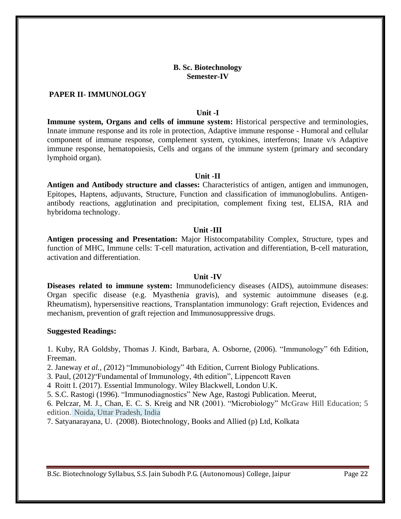## **B. Sc. Biotechnology Semester-IV**

### **PAPER II- IMMUNOLOGY**

### **Unit -I**

**Immune system, Organs and cells of immune system:** Historical perspective and terminologies, Innate immune response and its role in protection, Adaptive immune response - Humoral and cellular component of immune response, complement system, cytokines, interferons; Innate v/s Adaptive immune response, hematopoiesis, Cells and organs of the immune system (primary and secondary lymphoid organ).

#### **Unit -II**

**Antigen and Antibody structure and classes:** Characteristics of antigen, antigen and immunogen, Epitopes, Haptens, adjuvants, Structure, Function and classification of immunoglobulins. Antigenantibody reactions, agglutination and precipitation, complement fixing test, ELISA, RIA and hybridoma technology.

### **Unit -III**

**Antigen processing and Presentation:** Major Histocompatability Complex, Structure, types and function of MHC, Immune cells: T-cell maturation, activation and differentiation, B-cell maturation, activation and differentiation.

#### **Unit -IV**

**Diseases related to immune system:** Immunodeficiency diseases (AIDS), autoimmune diseases: Organ specific disease (e.g. Myasthenia gravis), and systemic autoimmune diseases (e.g. Rheumatism), hypersensitive reactions, Transplantation immunology: Graft rejection, Evidences and mechanism, prevention of graft rejection and Immunosuppressive drugs.

#### **Suggested Readings:**

1. Kuby, RA Goldsby, Thomas J. Kindt, Barbara, A. Osborne, (2006). "Immunology" 6th Edition, Freeman.

2. Janeway *et al., (*2012) "Immunobiology" 4th Edition, Current Biology Publications.

3. Paul, (2012)"Fundamental of Immunology, 4th edition", Lippencott Raven

4 Roitt I. (2017). Essential Immunology. Wiley Blackwell, London U.K.

5. S.C. Rastogi (1996). "Immunodiagnostics" New Age, Rastogi Publication. Meerut,

6. Pelczar, M. J., Chan, E. C. S. Kreig and NR (2001). "Microbiology" McGraw Hill Education; 5 edition. Noida, Uttar Pradesh, India

7. Satyanarayana, U. (2008). Biotechnology, Books and Allied (p) Ltd, Kolkata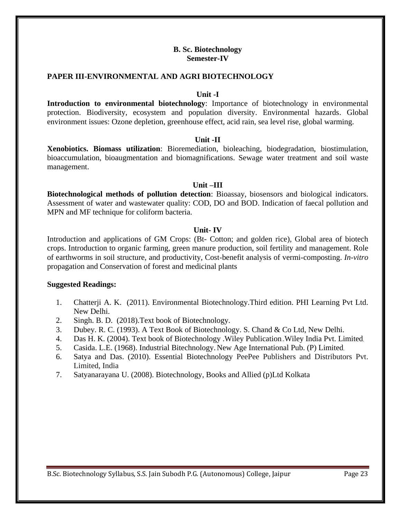## **B. Sc. Biotechnology Semester-IV**

## **PAPER III-ENVIRONMENTAL AND AGRI BIOTECHNOLOGY**

#### **Unit -I**

**Introduction to environmental biotechnology**: Importance of biotechnology in environmental protection. Biodiversity, ecosystem and population diversity. Environmental hazards. Global environment issues: Ozone depletion, greenhouse effect, acid rain, sea level rise, global warming.

#### **Unit -II**

**Xenobiotics. Biomass utilization**: Bioremediation, bioleaching, biodegradation, biostimulation, bioaccumulation, bioaugmentation and biomagnifications. Sewage water treatment and soil waste management.

#### **Unit –III**

**Biotechnological methods of pollution detection**: Bioassay, biosensors and biological indicators. Assessment of water and wastewater quality: COD, DO and BOD. Indication of faecal pollution and MPN and MF technique for coliform bacteria.

#### **Unit- IV**

Introduction and applications of GM Crops: (Bt- Cotton; and golden rice), Global area of biotech crops. Introduction to organic farming, green manure production, soil fertility and management. Role of earthworms in soil structure, and productivity, Cost-benefit analysis of vermi-composting. *In-vitro* propagation and Conservation of forest and medicinal plants

- 1. Chatterji A. K. (2011). Environmental Biotechnology.Third edition. PHI Learning Pvt Ltd. New Delhi.
- 2. Singh. B. D. (2018).Text book of Biotechnology.
- 3. Dubey. R. C. (1993). A Text Book of Biotechnology. S. Chand & Co Ltd, New Delhi.
- 4. Das H. K. (2004). Text book of Biotechnology .Wiley Publication..Wiley India Pvt. Limited,
- 5. Casida. L.E. (1968). Industrial Bitechnology. New Age International Pub. (P) Limited,
- 6. Satya and Das. (2010). Essential Biotechnology PeePee Publishers and Distributors Pvt. Limited, India
- 7. Satyanarayana U. (2008). Biotechnology, Books and Allied (p)Ltd Kolkata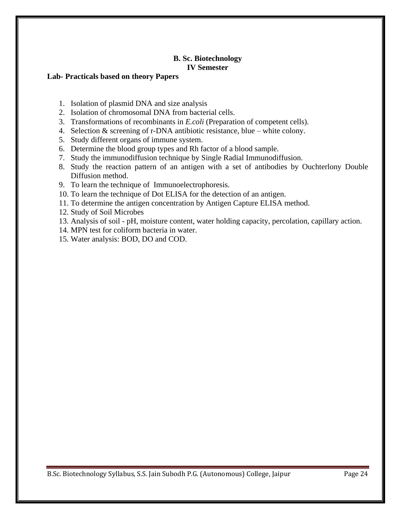## **B. Sc. Biotechnology IV Semester**

## **Lab- Practicals based on theory Papers**

- 1. Isolation of plasmid DNA and size analysis
- 2. Isolation of chromosomal DNA from bacterial cells.
- 3. Transformations of recombinants in *E.coli* (Preparation of competent cells).
- 4. Selection & screening of r-DNA antibiotic resistance, blue white colony.
- 5. Study different organs of immune system.
- 6. Determine the blood group types and Rh factor of a blood sample.
- 7. Study the immunodiffusion technique by Single Radial Immunodiffusion.
- 8. Study the reaction pattern of an antigen with a set of antibodies by Ouchterlony Double Diffusion method.
- 9. To learn the technique of Immunoelectrophoresis.
- 10. To learn the technique of Dot ELISA for the detection of an antigen.
- 11. To determine the antigen concentration by Antigen Capture ELISA method.
- 12. Study of Soil Microbes
- 13. Analysis of soil pH, moisture content, water holding capacity, percolation, capillary action.
- 14. MPN test for coliform bacteria in water.
- 15. Water analysis: BOD, DO and COD.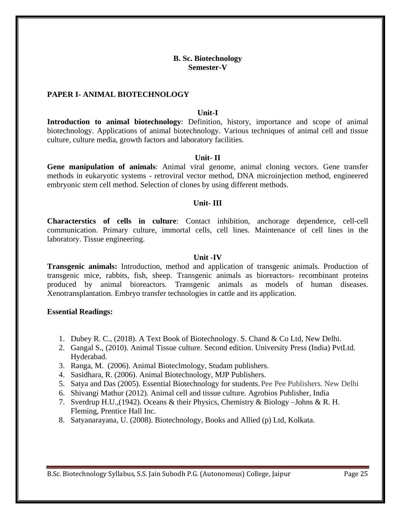### **B. Sc. Biotechnology Semester-V**

## **PAPER I- ANIMAL BIOTECHNOLOGY**

#### **Unit-I**

**Introduction to animal biotechnology**: Definition, history, importance and scope of animal biotechnology. Applications of animal biotechnology. Various techniques of animal cell and tissue culture, culture media, growth factors and laboratory facilities.

#### **Unit- II**

**Gene manipulation of animals**: Animal viral genome, animal cloning vectors. Gene transfer methods in eukaryotic systems - retroviral vector method, DNA microinjection method, engineered embryonic stem cell method. Selection of clones by using different methods.

#### **Unit- III**

**Characterstics of cells in culture**: Contact inhibition, anchorage dependence, cell-cell communication. Primary culture, immortal cells, cell lines. Maintenance of cell lines in the laboratory. Tissue engineering.

#### **Unit -IV**

**Transgenic animals:** Introduction, method and application of transgenic animals. Production of transgenic mice, rabbits, fish, sheep. Transgenic animals as bioreactors- recombinant proteins produced by animal bioreactors. Transgenic animals as models of human diseases. Xenotransplantation. Embryo transfer technologies in cattle and its application.

#### **Essential Readings:**

- 1. Dubey R. C., (2018). A Text Book of Biotechnology. S. Chand & Co Ltd, New Delhi.
- 2. Gangal S., (2010). Animal Tissue culture. Second edition. University Press (India) PvtLtd. Hyderabad.
- 3. Ranga, M. (2006). Animal Bioteclmology, Studam publishers.
- 4. Sasidhara, R. (2006). Animal Biotechnology, MJP Publishers.
- 5. Satya and Das (2005). Essential Biotechnology for students. Pee Pee Publishers. New Delhi
- 6. Shivangi Mathur (2012). Animal cell and tissue culture. Agrobios Publisher, India
- 7. Sverdrup H.U.,(1942). Oceans & their Physics, Chemistry & Biology –Johns & R. H. Fleming, Prentice Hall Inc.
- 8. Satyanarayana, U. (2008). Biotechnology, Books and Allied (p) Ltd, Kolkata.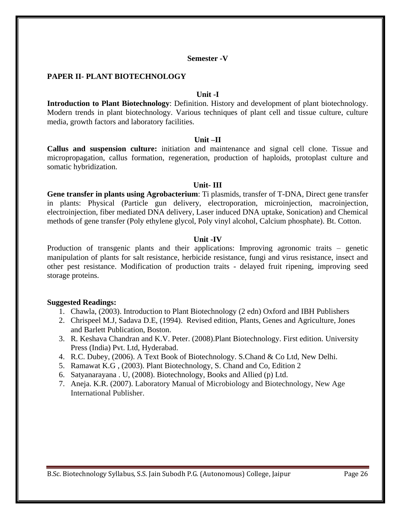### **Semester -V**

### **PAPER II- PLANT BIOTECHNOLOGY**

### **Unit -I**

**Introduction to Plant Biotechnology**: Definition. History and development of plant biotechnology. Modern trends in plant biotechnology. Various techniques of plant cell and tissue culture, culture media, growth factors and laboratory facilities.

#### **Unit –II**

**Callus and suspension culture:** initiation and maintenance and signal cell clone. Tissue and micropropagation, callus formation, regeneration, production of haploids, protoplast culture and somatic hybridization.

### **Unit- III**

**Gene transfer in plants using Agrobacterium**: Ti plasmids, transfer of T-DNA, Direct gene transfer in plants: Physical (Particle gun delivery, electroporation, microinjection, macroinjection, electroinjection, fiber mediated DNA delivery, Laser induced DNA uptake, Sonication) and Chemical methods of gene transfer (Poly ethylene glycol, Poly vinyl alcohol, Calcium phosphate). Bt. Cotton.

#### **Unit -IV**

Production of transgenic plants and their applications: Improving agronomic traits – genetic manipulation of plants for salt resistance, herbicide resistance, fungi and virus resistance, insect and other pest resistance. Modification of production traits - delayed fruit ripening, improving seed storage proteins.

- 1. Chawla, (2003). Introduction to Plant Biotechnology (2 edn) Oxford and IBH Publishers
- 2. Chrispeel M.J, Sadava D.E, (1994). Revised edition, Plants, Genes and Agriculture, Jones and Barlett Publication, Boston.
- 3. R. Keshava Chandran and K.V. Peter. (2008).Plant Biotechnology. First edition. University Press (India) Pvt. Ltd, Hyderabad.
- 4. R.C. Dubey, (2006). A Text Book of Biotechnology. S.Chand & Co Ltd, New Delhi.
- 5. Ramawat K.G , (2003). Plant Biotechnology, S. Chand and Co, Edition 2
- 6. Satyanarayana . U, (2008). Biotechnology, Books and Allied (p) Ltd.
- 7. Aneja. K.R. (2007). Laboratory Manual of Microbiology and Biotechnology, New Age International Publisher.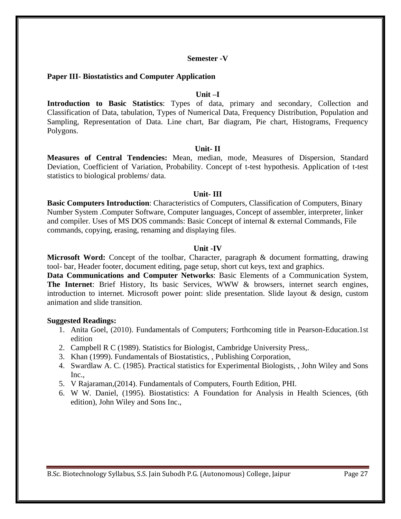### **Semester -V**

### **Paper III- Biostatistics and Computer Application**

#### **Unit –I**

**Introduction to Basic Statistics**: Types of data, primary and secondary, Collection and Classification of Data, tabulation, Types of Numerical Data, Frequency Distribution, Population and Sampling, Representation of Data. Line chart, Bar diagram, Pie chart, Histograms, Frequency Polygons.

#### **Unit- II**

**Measures of Central Tendencies:** Mean, median, mode, Measures of Dispersion, Standard Deviation, Coefficient of Variation, Probability. Concept of t-test hypothesis. Application of t-test statistics to biological problems/ data.

#### **Unit- III**

**Basic Computers Introduction**: Characteristics of Computers, Classification of Computers, Binary Number System .Computer Software, Computer languages, Concept of assembler, interpreter, linker and compiler. Uses of MS DOS commands: Basic Concept of internal & external Commands, File commands, copying, erasing, renaming and displaying files.

#### **Unit -IV**

**Microsoft Word:** Concept of the toolbar, Character, paragraph & document formatting, drawing tool- bar, Header footer, document editing, page setup, short cut keys, text and graphics.

**Data Communications and Computer Networks**: Basic Elements of a Communication System, **The Internet**: Brief History, Its basic Services, WWW & browsers, internet search engines, introduction to internet. Microsoft power point: slide presentation. Slide layout & design, custom animation and slide transition.

- 1. Anita Goel, (2010). Fundamentals of Computers; Forthcoming title in Pearson-Education.1st edition
- 2. Campbell R C (1989). Statistics for Biologist, Cambridge University Press,.
- 3. Khan (1999). Fundamentals of Biostatistics, , Publishing Corporation,
- 4. Swardlaw A. C. (1985). Practical statistics for Experimental Biologists, , John Wiley and Sons Inc.,
- 5. V Rajaraman,(2014). Fundamentals of Computers, Fourth Edition, PHI.
- 6. W W. Daniel, (1995). Biostatistics: A Foundation for Analysis in Health Sciences, (6th edition), John Wiley and Sons Inc.,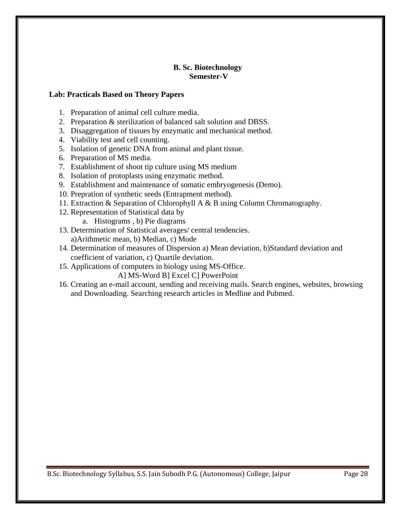## **B. Sc. Biotechnology Semester-V**

## **Lab: Practicals Based on Theory Papers**

- 1. Preparation of animal cell culture media.
- 2. Preparation & sterilization of balanced salt solution and DBSS.
- 3. Disaggregation of tissues by enzymatic and mechanical method.
- 4. Viability test and cell counting.
- 5. Isolation of genetic DNA from animal and plant tissue.
- 6. Preparation of MS media.
- 7. Establishment of shoot tip culture using MS medium
- 8. Isolation of protoplasts using enzymatic method.
- 9. Establishment and maintenance of somatic embryogenesis (Demo).
- 10. Prepration of synthetic seeds (Entrapment method).
- 11. Extraction & Separation of Chlorophyll A & B using Column Chromatography.
- 12. Representation of Statistical data by
	- a. Histograms , b) Pie diagrams
- 13. Determination of Statistical averages/ central tendencies. a)Arithmetic mean, b) Median, c) Mode
- 14. Determination of measures of Dispersion a) Mean deviation, b)Standard deviation and coefficient of variation, c) Quartile deviation.
- 15. Applications of computers in biology using MS-Office.
	- A] MS-Word B] Excel C] PowerPoint
- 16. Creating an e-mail account, sending and receiving mails. Search engines, websites, browsing and Downloading. Searching research articles in Medline and Pubmed.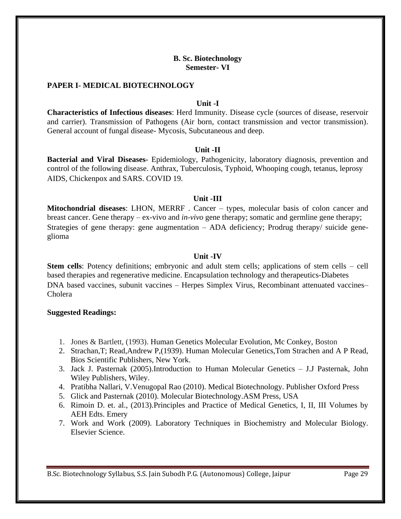### **B. Sc. Biotechnology Semester- VI**

#### **PAPER I- MEDICAL BIOTECHNOLOGY**

#### **Unit -I**

**Characteristics of Infectious diseases**: Herd Immunity. Disease cycle (sources of disease, reservoir and carrier). Transmission of Pathogens (Air born, contact transmission and vector transmission). General account of fungal disease- Mycosis, Subcutaneous and deep.

#### **Unit -II**

**Bacterial and Viral Diseases-** Epidemiology, Pathogenicity, laboratory diagnosis, prevention and control of the following disease. Anthrax, Tuberculosis, Typhoid, Whooping cough, tetanus, leprosy AIDS, Chickenpox and SARS. COVID 19.

### **Unit -III**

**Mitochondrial diseases**: LHON, MERRF . Cancer – types, molecular basis of colon cancer and breast cancer. Gene therapy – ex-vivo and *in-vivo* gene therapy; somatic and germline gene therapy; Strategies of gene therapy: gene augmentation – ADA deficiency; Prodrug therapy/ suicide geneglioma

### **Unit -IV**

**Stem cells**: Potency definitions; embryonic and adult stem cells; applications of stem cells – cell based therapies and regenerative medicine. Encapsulation technology and therapeutics-Diabetes DNA based vaccines, subunit vaccines – Herpes Simplex Virus, Recombinant attenuated vaccines– Cholera

#### **Suggested Readings:**

- 1. Jones & Bartlett, (1993). Human Genetics Molecular Evolution, Mc Conkey, Boston
- 2. Strachan,T; Read,Andrew P,(1939). Human Molecular Genetics,Tom Strachen and A P Read, Bios Scientific Publishers, New York.
- 3. Jack J. Pasternak (2005).Introduction to Human Molecular Genetics J.J Pasternak, John Wiley Publishers, Wiley.
- 4. Pratibha Nallari, V.Venugopal Rao (2010). Medical Biotechnology. Publisher Oxford Press
- 5. Glick and Pasternak (2010). Molecular Biotechnology.ASM Press, USA
- 6. Rimoin D. et. al., (2013).Principles and Practice of Medical Genetics, I, II, III Volumes by AEH Edts. Emery
- 7. Work and Work (2009). Laboratory Techniques in Biochemistry and Molecular Biology. Elsevier Science.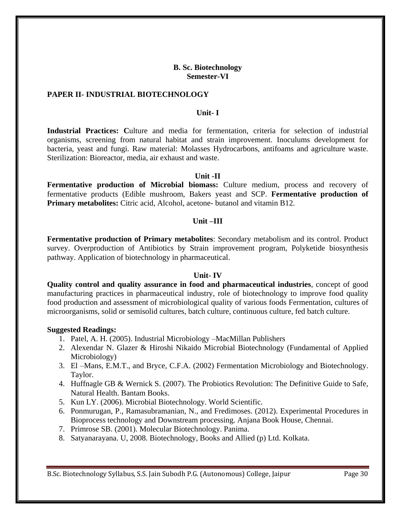## **B. Sc. Biotechnology Semester-VI**

### **PAPER II- INDUSTRIAL BIOTECHNOLOGY**

#### **Unit- I**

**Industrial Practices: C**ulture and media for fermentation, criteria for selection of industrial organisms, screening from natural habitat and strain improvement. Inoculums development for bacteria, yeast and fungi. Raw material: Molasses Hydrocarbons, antifoams and agriculture waste. Sterilization: Bioreactor, media, air exhaust and waste.

### **Unit -II**

**Fermentative production of Microbial biomass:** Culture medium, process and recovery of fermentative products (Edible mushroom, Bakers yeast and SCP. **Fermentative production of Primary metabolites:** Citric acid, Alcohol, acetone- butanol and vitamin B12.

## **Unit –III**

**Fermentative production of Primary metabolites**: Secondary metabolism and its control. Product survey. Overproduction of Antibiotics by Strain improvement program, Polyketide biosynthesis pathway. Application of biotechnology in pharmaceutical.

#### **Unit- IV**

**Quality control and quality assurance in food and pharmaceutical industries**, concept of good manufacturing practices in pharmaceutical industry, role of biotechnology to improve food quality food production and assessment of microbiological quality of various foods Fermentation, cultures of microorganisms, solid or semisolid cultures, batch culture, continuous culture, fed batch culture.

- 1. Patel, A. H. (2005). Industrial Microbiology –MacMillan Publishers
- 2. Alexendar N. Glazer & Hiroshi Nikaido Microbial Biotechnology (Fundamental of Applied Microbiology)
- 3. El –Mans, E.M.T., and Bryce, C.F.A. (2002) Fermentation Microbiology and Biotechnology. Taylor.
- 4. Huffnagle GB & Wernick S. (2007). The Probiotics Revolution: The Definitive Guide to Safe, Natural Health. Bantam Books.
- 5. Kun LY. (2006). Microbial Biotechnology. World Scientific.
- 6. Ponmurugan, P., Ramasubramanian, N., and Fredimoses. (2012). Experimental Procedures in Bioprocess technology and Downstream processing. Anjana Book House, Chennai.
- 7. Primrose SB. (2001). Molecular Biotechnology. Panima.
- 8. Satyanarayana. U, 2008. Biotechnology, Books and Allied (p) Ltd. Kolkata.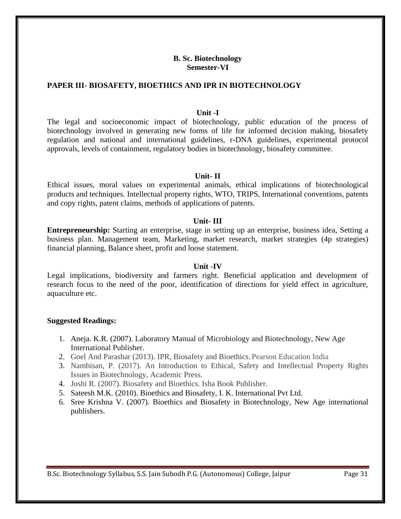### **B. Sc. Biotechnology Semester-VI**

### **PAPER III- BIOSAFETY, BIOETHICS AND IPR IN BIOTECHNOLOGY**

#### **Unit -I**

The legal and socioeconomic impact of biotechnology, public education of the process of biotechnology involved in generating new forms of life for informed decision making, biosafety regulation and national and international guidelines, r-DNA guidelines, experimental protocol approvals, levels of containment, regulatory bodies in biotechnology, biosafety committee.

#### **Unit- II**

Ethical issues, moral values on experimental animals, ethical implications of biotechnological products and techniques. Intellectual property rights, WTO, TRIPS, International conventions, patents and copy rights, patent claims, methods of applications of patents.

#### **Unit- III**

**Entrepreneurship:** Starting an enterprise, stage in setting up an enterprise, business idea, Setting a business plan. Management team, Marketing, market research, market strategies (4p strategies) financial planning, Balance sheet, profit and loose statement.

#### **Unit -IV**

Legal implications, biodiversity and farmers right. Beneficial application and development of research focus to the need of the poor, identification of directions for yield effect in agriculture, aquaculture etc.

- 1. Aneja. K.R. (2007). Laboratory Manual of Microbiology and Biotechnology, New Age International Publisher.
- 2. Goel And Parashar (2013). IPR, Biosafety and Bioethics. Pearson Education India
- 3. Nambisan, P. (2017). An Introduction to Ethical, Safety and Intellectual Property Rights Issues in Biotechnology, Academic Press.
- 4. Joshi R. (2007). Biosafety and Bioethics. Isha Book Publisher.
- 5. Sateesh M.K. (2010). Bioethics and Biosafety, I. K. International Pvt Ltd.
- 6. Sree Krishna V. (2007). Bioethics and Biosafety in Biotechnology, New Age international publishers.